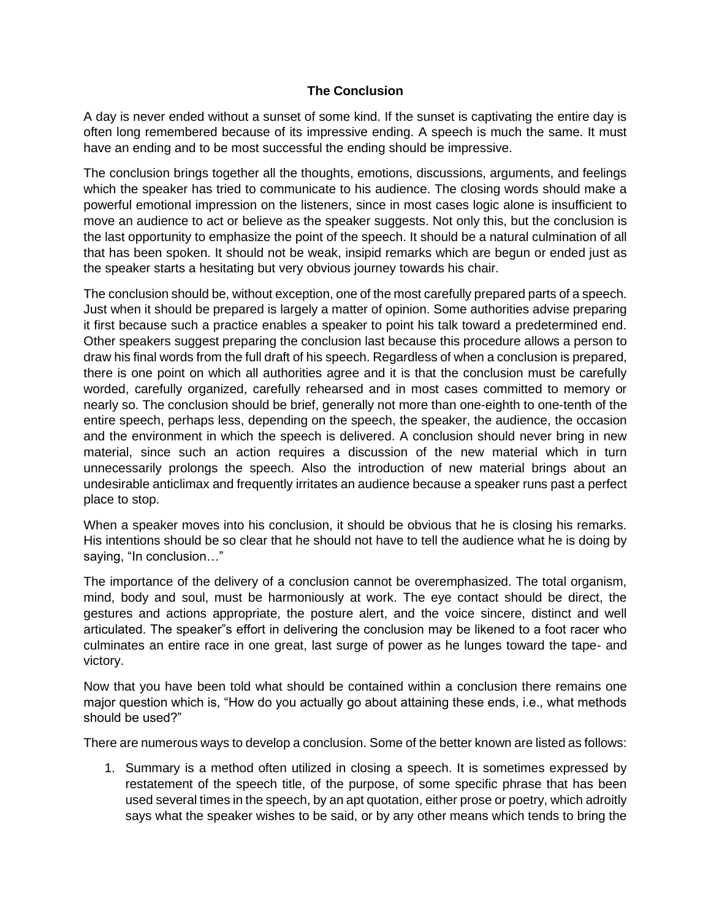## **The Conclusion**

A day is never ended without a sunset of some kind. If the sunset is captivating the entire day is often long remembered because of its impressive ending. A speech is much the same. It must have an ending and to be most successful the ending should be impressive.

The conclusion brings together all the thoughts, emotions, discussions, arguments, and feelings which the speaker has tried to communicate to his audience. The closing words should make a powerful emotional impression on the listeners, since in most cases logic alone is insufficient to move an audience to act or believe as the speaker suggests. Not only this, but the conclusion is the last opportunity to emphasize the point of the speech. It should be a natural culmination of all that has been spoken. It should not be weak, insipid remarks which are begun or ended just as the speaker starts a hesitating but very obvious journey towards his chair.

The conclusion should be, without exception, one of the most carefully prepared parts of a speech. Just when it should be prepared is largely a matter of opinion. Some authorities advise preparing it first because such a practice enables a speaker to point his talk toward a predetermined end. Other speakers suggest preparing the conclusion last because this procedure allows a person to draw his final words from the full draft of his speech. Regardless of when a conclusion is prepared, there is one point on which all authorities agree and it is that the conclusion must be carefully worded, carefully organized, carefully rehearsed and in most cases committed to memory or nearly so. The conclusion should be brief, generally not more than one-eighth to one-tenth of the entire speech, perhaps less, depending on the speech, the speaker, the audience, the occasion and the environment in which the speech is delivered. A conclusion should never bring in new material, since such an action requires a discussion of the new material which in turn unnecessarily prolongs the speech. Also the introduction of new material brings about an undesirable anticlimax and frequently irritates an audience because a speaker runs past a perfect place to stop.

When a speaker moves into his conclusion, it should be obvious that he is closing his remarks. His intentions should be so clear that he should not have to tell the audience what he is doing by saying, "In conclusion…"

The importance of the delivery of a conclusion cannot be overemphasized. The total organism, mind, body and soul, must be harmoniously at work. The eye contact should be direct, the gestures and actions appropriate, the posture alert, and the voice sincere, distinct and well articulated. The speaker"s effort in delivering the conclusion may be likened to a foot racer who culminates an entire race in one great, last surge of power as he lunges toward the tape- and victory.

Now that you have been told what should be contained within a conclusion there remains one major question which is, "How do you actually go about attaining these ends, i.e., what methods should be used?"

There are numerous ways to develop a conclusion. Some of the better known are listed as follows:

1. Summary is a method often utilized in closing a speech. It is sometimes expressed by restatement of the speech title, of the purpose, of some specific phrase that has been used several times in the speech, by an apt quotation, either prose or poetry, which adroitly says what the speaker wishes to be said, or by any other means which tends to bring the